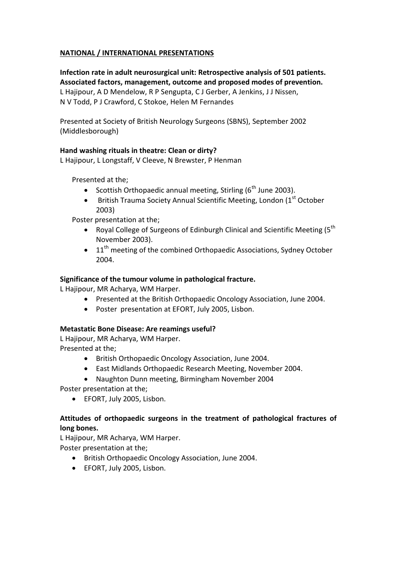# **NATIONAL / INTERNATIONAL PRESENTATIONS**

**Infection rate in adult neurosurgical unit: Retrospective analysis of 501 patients. Associated factors, management, outcome and proposed modes of prevention.**  L Hajipour, A D Mendelow, R P Sengupta, C J Gerber, A Jenkins, J J Nissen, N V Todd, P J Crawford, C Stokoe, Helen M Fernandes

Presented at Society of British Neurology Surgeons (SBNS), September 2002 (Middlesborough)

# **Hand washing rituals in theatre: Clean or dirty?**

L Hajipour, L Longstaff, V Cleeve, N Brewster, P Henman

Presented at the;

- Scottish Orthopaedic annual meeting, Stirling  $(6<sup>th</sup>$  June 2003).
- **•** British Trauma Society Annual Scientific Meeting, London ( $1<sup>st</sup>$  October 2003)

Poster presentation at the;

- Royal College of Surgeons of Edinburgh Clinical and Scientific Meeting ( $5<sup>th</sup>$ November 2003).
- $\bullet$  11<sup>th</sup> meeting of the combined Orthopaedic Associations, Sydney October 2004.

## **Significance of the tumour volume in pathological fracture.**

L Hajipour, MR Acharya, WM Harper.

- Presented at the British Orthopaedic Oncology Association, June 2004.
- Poster presentation at EFORT, July 2005, Lisbon.

## **Metastatic Bone Disease: Are reamings useful?**

L Hajipour, MR Acharya, WM Harper. Presented at the;

- British Orthopaedic Oncology Association, June 2004.
- East Midlands Orthopaedic Research Meeting, November 2004.
- Naughton Dunn meeting, Birmingham November 2004

Poster presentation at the;

EFORT, July 2005, Lisbon.

# **Attitudes of orthopaedic surgeons in the treatment of pathological fractures of long bones.**

L Hajipour, MR Acharya, WM Harper. Poster presentation at the;

- British Orthopaedic Oncology Association, June 2004.
- EFORT, July 2005, Lisbon.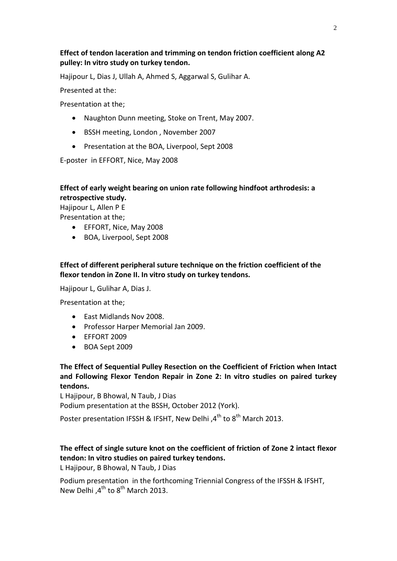# **Effect of tendon laceration and trimming on tendon friction coefficient along A2 pulley: In vitro study on turkey tendon.**

Hajipour L, Dias J, Ullah A, Ahmed S, Aggarwal S, Gulihar A.

Presented at the:

Presentation at the;

- Naughton Dunn meeting, Stoke on Trent, May 2007.
- BSSH meeting, London, November 2007
- Presentation at the BOA, Liverpool, Sept 2008

E-poster in EFFORT, Nice, May 2008

## **Effect of early weight bearing on union rate following hindfoot arthrodesis: a retrospective study.**

Hajipour L, Allen P E

Presentation at the;

- EFFORT, Nice, May 2008
- BOA, Liverpool, Sept 2008

**Effect of different peripheral suture technique on the friction coefficient of the flexor tendon in Zone II. In vitro study on turkey tendons.**

Hajipour L, Gulihar A, Dias J.

Presentation at the;

- East Midlands Nov 2008.
- Professor Harper Memorial Jan 2009.
- EFFORT 2009
- BOA Sept 2009

**The Effect of Sequential Pulley Resection on the Coefficient of Friction when Intact and Following Flexor Tendon Repair in Zone 2: In vitro studies on paired turkey tendons.**

L Hajipour, B Bhowal, N Taub, J Dias

Podium presentation at the BSSH, October 2012 (York).

Poster presentation IFSSH & IFSHT. New Delhi .4<sup>th</sup> to 8<sup>th</sup> March 2013.

# **The effect of single suture knot on the coefficient of friction of Zone 2 intact flexor tendon: In vitro studies on paired turkey tendons.**

L Hajipour, B Bhowal, N Taub, J Dias

Podium presentation in the forthcoming Triennial Congress of the IFSSH & IFSHT, New Delhi ,4<sup>th</sup> to 8<sup>th</sup> March 2013.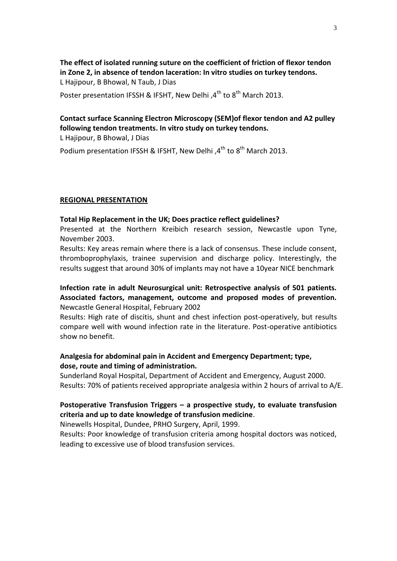**The effect of isolated running suture on the coefficient of friction of flexor tendon in Zone 2, in absence of tendon laceration: In vitro studies on turkey tendons.** L Hajipour, B Bhowal, N Taub, J Dias

Poster presentation IFSSH & IFSHT, New Delhi  $A<sup>th</sup>$  to  $8<sup>th</sup>$  March 2013.

# **Contact surface Scanning Electron Microscopy (SEM)of flexor tendon and A2 pulley following tendon treatments. In vitro study on turkey tendons.**

L Hajipour, B Bhowal, J Dias

Podium presentation IFSSH & IFSHT, New Delhi,  $4^{th}$  to  $8^{th}$  March 2013.

#### **REGIONAL PRESENTATION**

#### **Total Hip Replacement in the UK; Does practice reflect guidelines?**

Presented at the Northern Kreibich research session, Newcastle upon Tyne, November 2003.

Results: Key areas remain where there is a lack of consensus. These include consent, thromboprophylaxis, trainee supervision and discharge policy. Interestingly, the results suggest that around 30% of implants may not have a 10year NICE benchmark

**Infection rate in adult Neurosurgical unit: Retrospective analysis of 501 patients. Associated factors, management, outcome and proposed modes of prevention.** Newcastle General Hospital, February 2002

Results: High rate of discitis, shunt and chest infection post-operatively, but results compare well with wound infection rate in the literature. Post-operative antibiotics show no benefit.

## **Analgesia for abdominal pain in Accident and Emergency Department; type, dose, route and timing of administration.**

Sunderland Royal Hospital, Department of Accident and Emergency, August 2000. Results: 70% of patients received appropriate analgesia within 2 hours of arrival to A/E.

## **Postoperative Transfusion Triggers – a prospective study, to evaluate transfusion criteria and up to date knowledge of transfusion medicine**.

Ninewells Hospital, Dundee, PRHO Surgery, April, 1999.

Results: Poor knowledge of transfusion criteria among hospital doctors was noticed, leading to excessive use of blood transfusion services.